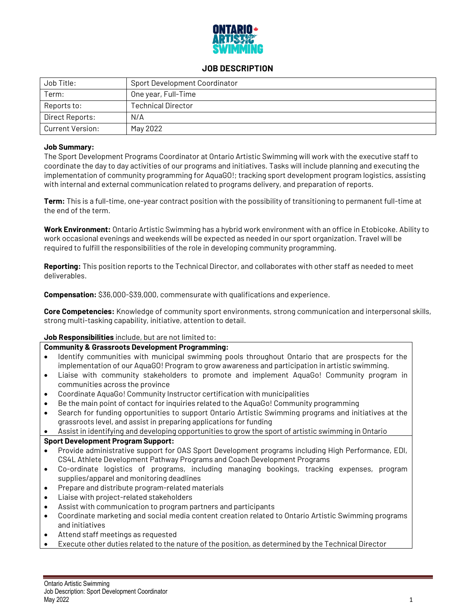

# **JOB DESCRIPTION**

| Job Title:       | Sport Development Coordinator |
|------------------|-------------------------------|
| Term:            | One year, Full-Time           |
| Reports to:      | <b>Technical Director</b>     |
| Direct Reports:  | N/A                           |
| Current Version: | May 2022                      |

## **Job Summary:**

The Sport Development Programs Coordinator at Ontario Artistic Swimming will work with the executive staff to coordinate the day to day activities of our programs and initiatives. Tasks will include planning and executing the implementation of community programming for AquaGO!; tracking sport development program logistics, assisting with internal and external communication related to programs delivery, and preparation of reports.

**Term:** This is a full-time, one-year contract position with the possibility of transitioning to permanent full-time at the end of the term.

**Work Environment:** Ontario Artistic Swimming has a hybrid work environment with an office in Etobicoke. Ability to work occasional evenings and weekends will be expected as needed in our sport organization. Travel will be required to fulfill the responsibilities of the role in developing community programming.

**Reporting:** This position reports to the Technical Director, and collaborates with other staff as needed to meet deliverables.

**Compensation:** \$36,000-\$39,000, commensurate with qualifications and experience.

**Core Competencies:** Knowledge of community sport environments, strong communication and interpersonal skills, strong multi-tasking capability, initiative, attention to detail.

## **Job Responsibilities** include, but are not limited to:

# **Community & Grassroots Development Programming:**

- Identify communities with municipal swimming pools throughout Ontario that are prospects for the implementation of our AquaGO! Program to grow awareness and participation in artistic swimming.
- Liaise with community stakeholders to promote and implement AquaGo! Community program in communities across the province
- Coordinate AquaGo! Community Instructor certification with municipalities
- Be the main point of contact for inquiries related to the AquaGo! Community programming
- Search for funding opportunities to support Ontario Artistic Swimming programs and initiatives at the grassroots level, and assist in preparing applications for funding
- Assist in identifying and developing opportunities to grow the sport of artistic swimming in Ontario

## **Sport Development Program Support:**

- Provide administrative support for OAS Sport Development programs including High Performance, EDI, CS4L Athlete Development Pathway Programs and Coach Development Programs
- Co-ordinate logistics of programs, including managing bookings, tracking expenses, program supplies/apparel and monitoring deadlines
- Prepare and distribute program-related materials
- Liaise with project-related stakeholders
- Assist with communication to program partners and participants
- Coordinate marketing and social media content creation related to Ontario Artistic Swimming programs and initiatives
- Attend staff meetings as requested
- Execute other duties related to the nature of the position, as determined by the Technical Director